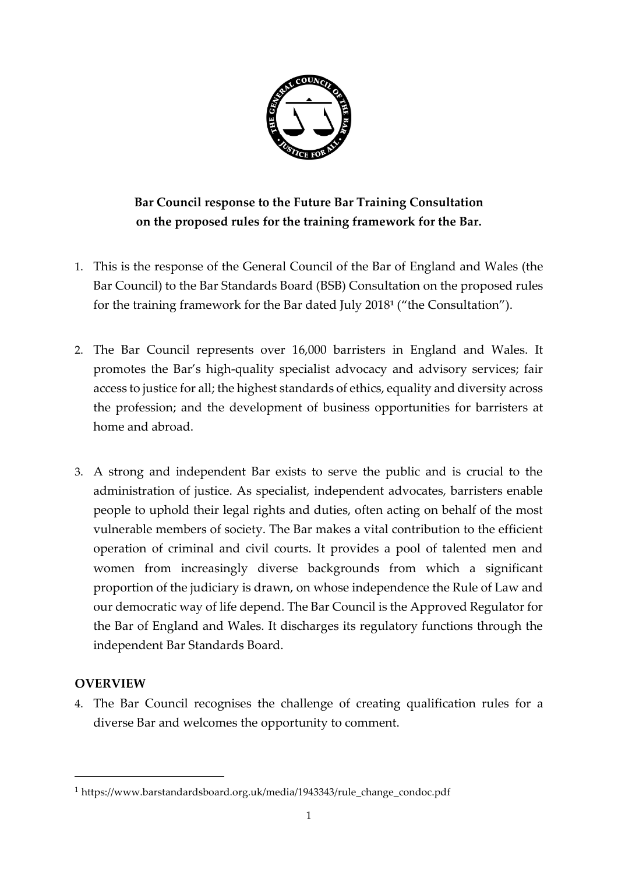

**Bar Council response to the Future Bar Training Consultation on the proposed rules for the training framework for the Bar.**

- 1. This is the response of the General Council of the Bar of England and Wales (the Bar Council) to the Bar Standards Board (BSB) Consultation on the proposed rules for the training framework for the Bar dated July 2018**<sup>1</sup>** ("the Consultation").
- 2. The Bar Council represents over 16,000 barristers in England and Wales. It promotes the Bar's high-quality specialist advocacy and advisory services; fair access to justice for all; the highest standards of ethics, equality and diversity across the profession; and the development of business opportunities for barristers at home and abroad.
- 3. A strong and independent Bar exists to serve the public and is crucial to the administration of justice. As specialist, independent advocates, barristers enable people to uphold their legal rights and duties, often acting on behalf of the most vulnerable members of society. The Bar makes a vital contribution to the efficient operation of criminal and civil courts. It provides a pool of talented men and women from increasingly diverse backgrounds from which a significant proportion of the judiciary is drawn, on whose independence the Rule of Law and our democratic way of life depend. The Bar Council is the Approved Regulator for the Bar of England and Wales. It discharges its regulatory functions through the independent Bar Standards Board.

## **OVERVIEW**

-

4. The Bar Council recognises the challenge of creating qualification rules for a diverse Bar and welcomes the opportunity to comment.

<sup>&</sup>lt;sup>1</sup> https://www.barstandardsboard.org.uk/media/1943343/rule\_change\_condoc.pdf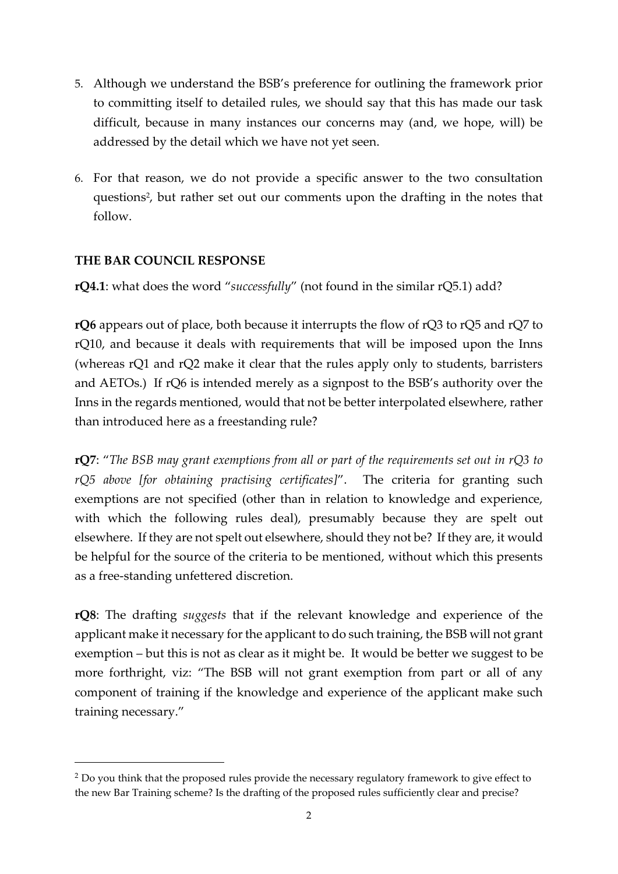- 5. Although we understand the BSB's preference for outlining the framework prior to committing itself to detailed rules, we should say that this has made our task difficult, because in many instances our concerns may (and, we hope, will) be addressed by the detail which we have not yet seen.
- 6. For that reason, we do not provide a specific answer to the two consultation questions<sup>2</sup>, but rather set out our comments upon the drafting in the notes that follow.

## **THE BAR COUNCIL RESPONSE**

-

**rQ4.1**: what does the word "*successfully*" (not found in the similar rQ5.1) add?

**rQ6** appears out of place, both because it interrupts the flow of rQ3 to rQ5 and rQ7 to rQ10, and because it deals with requirements that will be imposed upon the Inns (whereas rQ1 and rQ2 make it clear that the rules apply only to students, barristers and AETOs.) If rQ6 is intended merely as a signpost to the BSB's authority over the Inns in the regards mentioned, would that not be better interpolated elsewhere, rather than introduced here as a freestanding rule?

**rQ7**: "*The BSB may grant exemptions from all or part of the requirements set out in rQ3 to rQ5 above [for obtaining practising certificates]*". The criteria for granting such exemptions are not specified (other than in relation to knowledge and experience, with which the following rules deal), presumably because they are spelt out elsewhere. If they are not spelt out elsewhere, should they not be? If they are, it would be helpful for the source of the criteria to be mentioned, without which this presents as a free-standing unfettered discretion.

**rQ8**: The drafting *suggests* that if the relevant knowledge and experience of the applicant make it necessary for the applicant to do such training, the BSB will not grant exemption – but this is not as clear as it might be. It would be better we suggest to be more forthright, viz: "The BSB will not grant exemption from part or all of any component of training if the knowledge and experience of the applicant make such training necessary."

<sup>&</sup>lt;sup>2</sup> Do you think that the proposed rules provide the necessary regulatory framework to give effect to the new Bar Training scheme? Is the drafting of the proposed rules sufficiently clear and precise?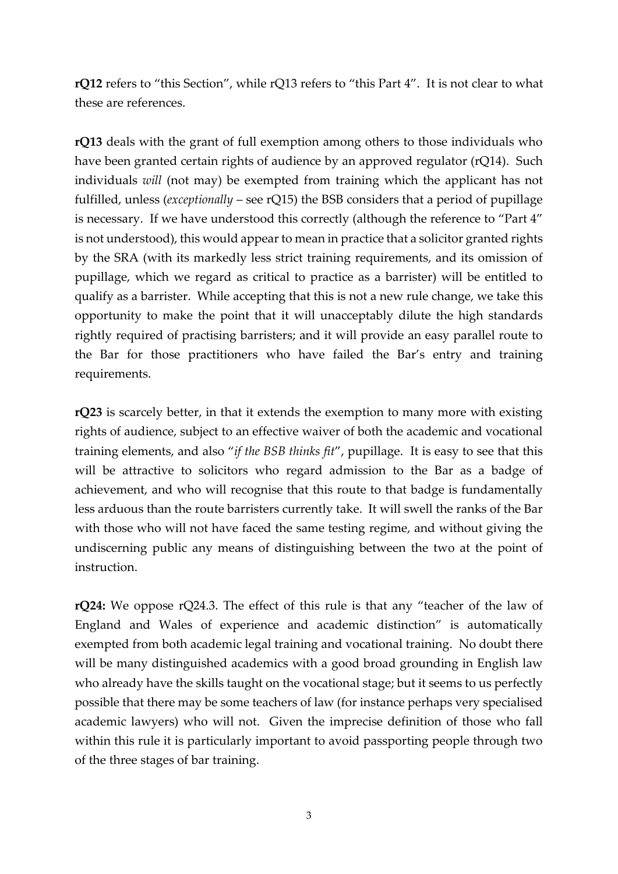**rQ12** refers to "this Section", while rQ13 refers to "this Part 4". It is not clear to what these are references.

**rQ13** deals with the grant of full exemption among others to those individuals who have been granted certain rights of audience by an approved regulator (rQ14). Such individuals *will* (not may) be exempted from training which the applicant has not fulfilled, unless (*exceptionally* – see rQ15) the BSB considers that a period of pupillage is necessary. If we have understood this correctly (although the reference to "Part 4" is not understood), this would appear to mean in practice that a solicitor granted rights by the SRA (with its markedly less strict training requirements, and its omission of pupillage, which we regard as critical to practice as a barrister) will be entitled to qualify as a barrister. While accepting that this is not a new rule change, we take this opportunity to make the point that it will unacceptably dilute the high standards rightly required of practising barristers; and it will provide an easy parallel route to the Bar for those practitioners who have failed the Bar's entry and training requirements.

**rQ23** is scarcely better, in that it extends the exemption to many more with existing rights of audience, subject to an effective waiver of both the academic and vocational training elements, and also "*if the BSB thinks fit*", pupillage. It is easy to see that this will be attractive to solicitors who regard admission to the Bar as a badge of achievement, and who will recognise that this route to that badge is fundamentally less arduous than the route barristers currently take. It will swell the ranks of the Bar with those who will not have faced the same testing regime, and without giving the undiscerning public any means of distinguishing between the two at the point of instruction.

**rQ24:** We oppose rQ24.3. The effect of this rule is that any "teacher of the law of England and Wales of experience and academic distinction" is automatically exempted from both academic legal training and vocational training. No doubt there will be many distinguished academics with a good broad grounding in English law who already have the skills taught on the vocational stage; but it seems to us perfectly possible that there may be some teachers of law (for instance perhaps very specialised academic lawyers) who will not. Given the imprecise definition of those who fall within this rule it is particularly important to avoid passporting people through two of the three stages of bar training.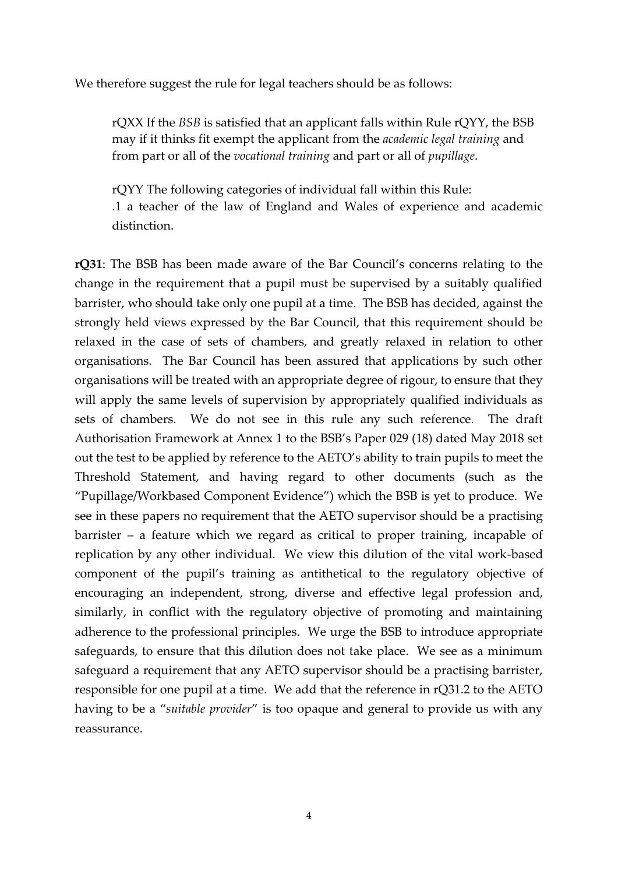We therefore suggest the rule for legal teachers should be as follows:

rQXX If the *BSB* is satisfied that an applicant falls within Rule rQYY, the BSB may if it thinks fit exempt the applicant from the *academic legal training* and from part or all of the *vocational training* and part or all of *pupillage*.

rQYY The following categories of individual fall within this Rule: .1 a teacher of the law of England and Wales of experience and academic distinction.

**rQ31**: The BSB has been made aware of the Bar Council's concerns relating to the change in the requirement that a pupil must be supervised by a suitably qualified barrister, who should take only one pupil at a time. The BSB has decided, against the strongly held views expressed by the Bar Council, that this requirement should be relaxed in the case of sets of chambers, and greatly relaxed in relation to other organisations. The Bar Council has been assured that applications by such other organisations will be treated with an appropriate degree of rigour, to ensure that they will apply the same levels of supervision by appropriately qualified individuals as sets of chambers. We do not see in this rule any such reference. The draft Authorisation Framework at Annex 1 to the BSB's Paper 029 (18) dated May 2018 set out the test to be applied by reference to the AETO's ability to train pupils to meet the Threshold Statement, and having regard to other documents (such as the "Pupillage/Workbased Component Evidence") which the BSB is yet to produce. We see in these papers no requirement that the AETO supervisor should be a practising barrister – a feature which we regard as critical to proper training, incapable of replication by any other individual. We view this dilution of the vital work-based component of the pupil's training as antithetical to the regulatory objective of encouraging an independent, strong, diverse and effective legal profession and, similarly, in conflict with the regulatory objective of promoting and maintaining adherence to the professional principles. We urge the BSB to introduce appropriate safeguards, to ensure that this dilution does not take place. We see as a minimum safeguard a requirement that any AETO supervisor should be a practising barrister, responsible for one pupil at a time. We add that the reference in rQ31.2 to the AETO having to be a "*suitable provider*" is too opaque and general to provide us with any reassurance.